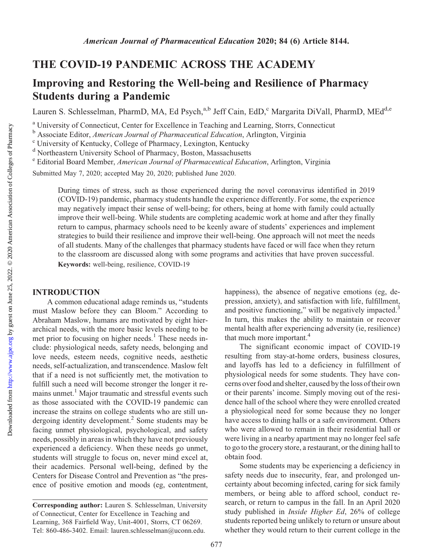Downloaded from

# THE COVID-19 PANDEMIC ACROSS THE ACADEMY

## Improving and Restoring the Well-being and Resilience of Pharmacy Students during a Pandemic

Lauren S. Schlesselman, PharmD, MA, Ed Psych,<sup>a,b</sup> Jeff Cain, EdD,<sup>c</sup> Margarita DiVall, PharmD, MEd<sup>d,e</sup>

<sup>a</sup> University of Connecticut, Center for Excellence in Teaching and Learning, Storrs, Connecticut

 $\overline{b}$  Associate Editor, *American Journal of Pharmaceutical Education*, Arlington, Virginia <sup>c</sup> University of Kentucky, College of Pharmacy, Lexington, Kentucky

<sup>d</sup> Northeastern University School of Pharmacy, Boston, Massachusetts

<sup>e</sup> Editorial Board Member, American Journal of Pharmaceutical Education, Arlington, Virginia

Submitted May 7, 2020; accepted May 20, 2020; published June 2020.

During times of stress, such as those experienced during the novel coronavirus identified in 2019 (COVID-19) pandemic, pharmacy students handle the experience differently. For some, the experience may negatively impact their sense of well-being; for others, being at home with family could actually improve their well-being. While students are completing academic work at home and after they finally return to campus, pharmacy schools need to be keenly aware of students' experiences and implement strategies to build their resilience and improve their well-being. One approach will not meet the needs of all students. Many of the challenges that pharmacy students have faced or will face when they return to the classroom are discussed along with some programs and activities that have proven successful. Keywords: well-being, resilience, COVID-19

### INTRODUCTION

A common educational adage reminds us, "students must Maslow before they can Bloom." According to Abraham Maslow, humans are motivated by eight hierarchical needs, with the more basic levels needing to be met prior to focusing on higher needs.<sup>1</sup> These needs include: physiological needs, safety needs, belonging and love needs, esteem needs, cognitive needs, aesthetic needs, self-actualization, and transcendence. Maslow felt that if a need is not sufficiently met, the motivation to fulfill such a need will become stronger the longer it remains unmet.<sup>1</sup> Major traumatic and stressful events such as those associated with the COVID-19 pandemic can increase the strains on college students who are still undergoing identity development.<sup>2</sup> Some students may be facing unmet physiological, psychological, and safety needs, possibly in areas in which they have not previously experienced a deficiency. When these needs go unmet, students will struggle to focus on, never mind excel at, their academics. Personal well-being, defined by the Centers for Disease Control and Prevention as "the presence of positive emotion and moods (eg, contentment, happiness), the absence of negative emotions (eg, depression, anxiety), and satisfaction with life, fulfillment, and positive functioning," will be negatively impacted.<sup>3</sup> In turn, this makes the ability to maintain or recover mental health after experiencing adversity (ie, resilience) that much more important.<sup>4</sup>

The significant economic impact of COVID-19 resulting from stay-at-home orders, business closures, and layoffs has led to a deficiency in fulfillment of physiological needs for some students. They have concerns over food and shelter, caused by the loss of their own or their parents' income. Simply moving out of the residence hall of the school where they were enrolled created a physiological need for some because they no longer have access to dining halls or a safe environment. Others who were allowed to remain in their residential hall or were living in a nearby apartment may no longer feel safe to go to the grocery store, a restaurant, or the dining hall to obtain food.

Some students may be experiencing a deficiency in safety needs due to insecurity, fear, and prolonged uncertainty about becoming infected, caring for sick family members, or being able to afford school, conduct research, or return to campus in the fall. In an April 2020 study published in Inside Higher Ed, 26% of college students reported being unlikely to return or unsure about whether they would return to their current college in the

Corresponding author: Lauren S. Schlesselman, University of Connecticut, Center for Excellence in Teaching and Learning, 368 Fairfield Way, Unit-4001, Storrs, CT 06269. Tel: 860-486-3402. Email: [lauren.schlesselman@uconn.edu.](mailto:lauren.schlesselman@uconn.edu)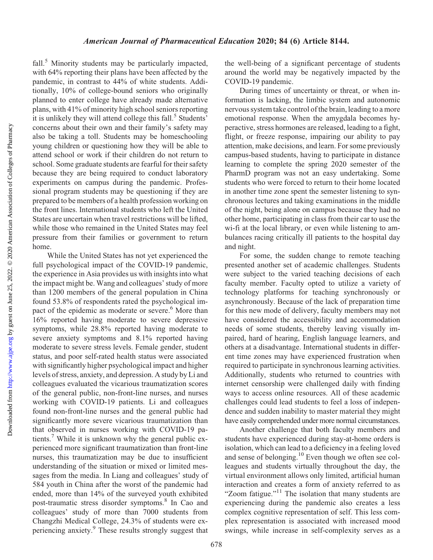Downloaded from http://www.ajpe.org by guest on June 25, 2022. @ 2020 American Association of Colleges of Pharmacy by guest on June 25, 2022. © 2020 American Association of Colleges of Pharmacy <http://www.ajpe.org> Downloaded from

fall.<sup>5</sup> Minority students may be particularly impacted, with 64% reporting their plans have been affected by the pandemic, in contrast to 44% of white students. Additionally, 10% of college-bound seniors who originally planned to enter college have already made alternative plans, with 41% of minority high school seniors reporting it is unlikely they will attend college this fall.<sup>5</sup> Students' concerns about their own and their family's safety may also be taking a toll. Students may be homeschooling young children or questioning how they will be able to attend school or work if their children do not return to school. Some graduate students are fearful for their safety because they are being required to conduct laboratory experiments on campus during the pandemic. Professional program students may be questioning if they are prepared to be members of a health profession working on the front lines. International students who left the United States are uncertain when travel restrictions will be lifted, while those who remained in the United States may feel pressure from their families or government to return home.

While the United States has not yet experienced the full psychological impact of the COVID-19 pandemic, the experience in Asia provides us with insights into what the impact might be. Wang and colleagues' study of more than 1200 members of the general population in China found 53.8% of respondents rated the psychological impact of the epidemic as moderate or severe.<sup>6</sup> More than 16% reported having moderate to severe depressive symptoms, while 28.8% reported having moderate to severe anxiety symptoms and 8.1% reported having moderate to severe stress levels. Female gender, student status, and poor self-rated health status were associated with significantly higher psychological impact and higher levels of stress, anxiety, and depression. A study by Li and colleagues evaluated the vicarious traumatization scores of the general public, non-front-line nurses, and nurses working with COVID-19 patients. Li and colleagues found non-front-line nurses and the general public had significantly more severe vicarious traumatization than that observed in nurses working with COVID-19 patients.<sup>7</sup> While it is unknown why the general public experienced more significant traumatization than front-line nurses, this traumatization may be due to insufficient understanding of the situation or mixed or limited messages from the media. In Liang and colleagues' study of 584 youth in China after the worst of the pandemic had ended, more than 14% of the surveyed youth exhibited post-traumatic stress disorder symptoms.8 In Cao and colleagues' study of more than 7000 students from Changzhi Medical College, 24.3% of students were experiencing anxiety.9 These results strongly suggest that the well-being of a significant percentage of students around the world may be negatively impacted by the COVID-19 pandemic.

During times of uncertainty or threat, or when information is lacking, the limbic system and autonomic nervous system take control of the brain, leading to a more emotional response. When the amygdala becomes hyperactive, stress hormones are released, leading to a fight, flight, or freeze response, impairing our ability to pay attention, make decisions, and learn. For some previously campus-based students, having to participate in distance learning to complete the spring 2020 semester of the PharmD program was not an easy undertaking. Some students who were forced to return to their home located in another time zone spent the semester listening to synchronous lectures and taking examinations in the middle of the night, being alone on campus because they had no other home, participating in class from their car to use the wi-fi at the local library, or even while listening to ambulances racing critically ill patients to the hospital day and night.

For some, the sudden change to remote teaching presented another set of academic challenges. Students were subject to the varied teaching decisions of each faculty member. Faculty opted to utilize a variety of technology platforms for teaching synchronously or asynchronously. Because of the lack of preparation time for this new mode of delivery, faculty members may not have considered the accessibility and accommodation needs of some students, thereby leaving visually impaired, hard of hearing, English language learners, and others at a disadvantage. International students in different time zones may have experienced frustration when required to participate in synchronous learning activities. Additionally, students who returned to countries with internet censorship were challenged daily with finding ways to access online resources. All of these academic challenges could lead students to feel a loss of independence and sudden inability to master material they might have easily comprehended under more normal circumstances.

Another challenge that both faculty members and students have experienced during stay-at-home orders is isolation, which can lead to a deficiency in a feeling loved and sense of belonging.10 Even though we often see colleagues and students virtually throughout the day, the virtual environment allows only limited, artificial human interaction and creates a form of anxiety referred to as "Zoom fatigue."<sup>11</sup> The isolation that many students are experiencing during the pandemic also creates a less complex cognitive representation of self. This less complex representation is associated with increased mood swings, while increase in self-complexity serves as a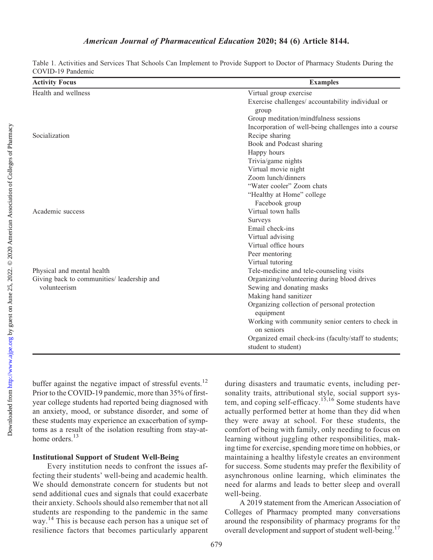| Table 1. Activities and Services That Schools Can Implement to Provide Support to Doctor of Pharmacy Students During the |  |  |  |  |  |
|--------------------------------------------------------------------------------------------------------------------------|--|--|--|--|--|
| COVID-19 Pandemic                                                                                                        |  |  |  |  |  |

| <b>Activity Focus</b>                      | <b>Examples</b>                                                              |
|--------------------------------------------|------------------------------------------------------------------------------|
| Health and wellness                        | Virtual group exercise                                                       |
|                                            | Exercise challenges/ accountability individual or<br>group                   |
|                                            | Group meditation/mindfulness sessions                                        |
|                                            | Incorporation of well-being challenges into a course                         |
| Socialization                              | Recipe sharing                                                               |
|                                            | Book and Podcast sharing                                                     |
|                                            | Happy hours                                                                  |
|                                            | Trivia/game nights                                                           |
|                                            | Virtual movie night                                                          |
|                                            | Zoom lunch/dinners                                                           |
|                                            | "Water cooler" Zoom chats                                                    |
|                                            | "Healthy at Home" college                                                    |
|                                            | Facebook group                                                               |
| Academic success                           | Virtual town halls                                                           |
|                                            | <b>Surveys</b>                                                               |
|                                            | Email check-ins                                                              |
|                                            | Virtual advising                                                             |
|                                            | Virtual office hours                                                         |
|                                            | Peer mentoring                                                               |
|                                            | Virtual tutoring                                                             |
| Physical and mental health                 | Tele-medicine and tele-counseling visits                                     |
| Giving back to communities/ leadership and | Organizing/volunteering during blood drives                                  |
| volunteerism                               | Sewing and donating masks                                                    |
|                                            | Making hand sanitizer                                                        |
|                                            | Organizing collection of personal protection<br>equipment                    |
|                                            | Working with community senior centers to check in<br>on seniors              |
|                                            | Organized email check-ins (faculty/staff to students;<br>student to student) |

buffer against the negative impact of stressful events.<sup>12</sup> Prior to the COVID-19 pandemic, more than 35% of firstyear college students had reported being diagnosed with an anxiety, mood, or substance disorder, and some of these students may experience an exacerbation of symptoms as a result of the isolation resulting from stay-athome orders.<sup>13</sup>

#### Institutional Support of Student Well-Being

Every institution needs to confront the issues affecting their students' well-being and academic health. We should demonstrate concern for students but not send additional cues and signals that could exacerbate their anxiety. Schools should also remember that not all students are responding to the pandemic in the same way.<sup>14</sup> This is because each person has a unique set of resilience factors that becomes particularly apparent

during disasters and traumatic events, including personality traits, attributional style, social support system, and coping self-efficacy.<sup>15,16</sup> Some students have actually performed better at home than they did when they were away at school. For these students, the comfort of being with family, only needing to focus on learning without juggling other responsibilities, making time for exercise, spending more time on hobbies, or maintaining a healthy lifestyle creates an environment for success. Some students may prefer the flexibility of asynchronous online learning, which eliminates the need for alarms and leads to better sleep and overall well-being.

A 2019 statement from the American Association of Colleges of Pharmacy prompted many conversations around the responsibility of pharmacy programs for the overall development and support of student well-being.<sup>17</sup>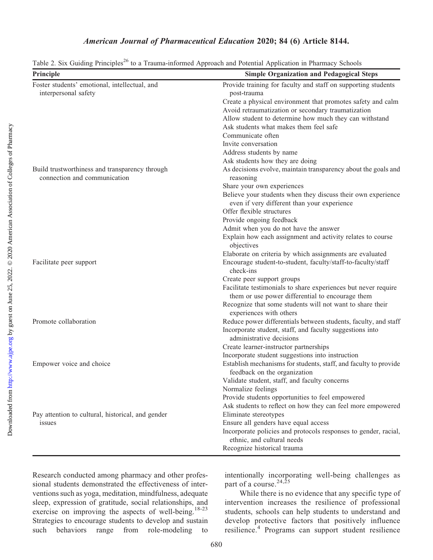| Principle                                         | <b>Simple Organization and Pedagogical Steps</b>                                                            |
|---------------------------------------------------|-------------------------------------------------------------------------------------------------------------|
| Foster students' emotional, intellectual, and     | Provide training for faculty and staff on supporting students                                               |
| interpersonal safety                              | post-trauma                                                                                                 |
|                                                   | Create a physical environment that promotes safety and calm                                                 |
|                                                   | Avoid retraumatization or secondary traumatization                                                          |
|                                                   | Allow student to determine how much they can withstand                                                      |
|                                                   | Ask students what makes them feel safe                                                                      |
|                                                   | Communicate often                                                                                           |
|                                                   | Invite conversation                                                                                         |
|                                                   | Address students by name                                                                                    |
|                                                   | Ask students how they are doing                                                                             |
| Build trustworthiness and transparency through    | As decisions evolve, maintain transparency about the goals and                                              |
| connection and communication                      | reasoning                                                                                                   |
|                                                   | Share your own experiences                                                                                  |
|                                                   | Believe your students when they discuss their own experience<br>even if very different than your experience |
|                                                   | Offer flexible structures                                                                                   |
|                                                   | Provide ongoing feedback                                                                                    |
|                                                   | Admit when you do not have the answer                                                                       |
|                                                   | Explain how each assignment and activity relates to course<br>objectives                                    |
|                                                   | Elaborate on criteria by which assignments are evaluated                                                    |
| Facilitate peer support                           | Encourage student-to-student, faculty/staff-to-faculty/staff<br>check-ins                                   |
|                                                   | Create peer support groups                                                                                  |
|                                                   | Facilitate testimonials to share experiences but never require                                              |
|                                                   | them or use power differential to encourage them                                                            |
|                                                   | Recognize that some students will not want to share their<br>experiences with others                        |
| Promote collaboration                             | Reduce power differentials between students, faculty, and staff                                             |
|                                                   | Incorporate student, staff, and faculty suggestions into<br>administrative decisions                        |
|                                                   | Create learner-instructor partnerships                                                                      |
|                                                   | Incorporate student suggestions into instruction                                                            |
| Empower voice and choice                          | Establish mechanisms for students, staff, and faculty to provide<br>feedback on the organization            |
|                                                   | Validate student, staff, and faculty concerns                                                               |
|                                                   | Normalize feelings                                                                                          |
|                                                   | Provide students opportunities to feel empowered                                                            |
|                                                   | Ask students to reflect on how they can feel more empowered                                                 |
| Pay attention to cultural, historical, and gender | Eliminate stereotypes                                                                                       |
| issues                                            | Ensure all genders have equal access                                                                        |
|                                                   | Incorporate policies and protocols responses to gender, racial,                                             |
|                                                   | ethnic, and cultural needs                                                                                  |
|                                                   | Recognize historical trauma                                                                                 |
|                                                   |                                                                                                             |

Table 2. Six Guiding Principles<sup>26</sup> to a Trauma-informed Approach and Potential Application in Pharmacy Schools

Research conducted among pharmacy and other professional students demonstrated the effectiveness of interventions such as yoga, meditation, mindfulness, adequate sleep, expression of gratitude, social relationships, and exercise on improving the aspects of well-being.<sup>18-23</sup> Strategies to encourage students to develop and sustain such behaviors range from role-modeling to

intentionally incorporating well-being challenges as part of a course.<sup>24,25</sup>

While there is no evidence that any specific type of intervention increases the resilience of professional students, schools can help students to understand and develop protective factors that positively influence resilience.<sup>4</sup> Programs can support student resilience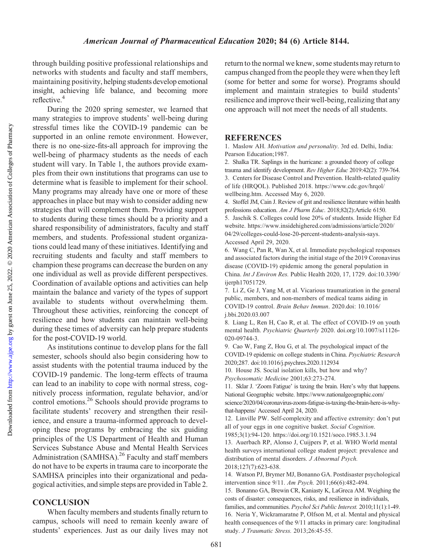through building positive professional relationships and networks with students and faculty and staff members, maintaining positivity, helping students develop emotional insight, achieving life balance, and becoming more reflective.<sup>4</sup>

During the 2020 spring semester, we learned that many strategies to improve students' well-being during stressful times like the COVID-19 pandemic can be supported in an online remote environment. However, there is no one-size-fits-all approach for improving the well-being of pharmacy students as the needs of each student will vary. In Table 1, the authors provide examples from their own institutions that programs can use to determine what is feasible to implement for their school. Many programs may already have one or more of these approaches in place but may wish to consider adding new strategies that will complement them. Providing support to students during these times should be a priority and a shared responsibility of administrators, faculty and staff members, and students. Professional student organizations could lead many of these initiatives. Identifying and recruiting students and faculty and staff members to champion these programs can decrease the burden on any one individual as well as provide different perspectives. Coordination of available options and activities can help maintain the balance and variety of the types of support available to students without overwhelming them. Throughout these activities, reinforcing the concept of resilience and how students can maintain well-being during these times of adversity can help prepare students for the post-COVID-19 world.

As institutions continue to develop plans for the fall semester, schools should also begin considering how to assist students with the potential trauma induced by the COVID-19 pandemic. The long-term effects of trauma can lead to an inability to cope with normal stress, cognitively process information, regulate behavior, and/or control emotions.26 Schools should provide programs to facilitate students' recovery and strengthen their resilience, and ensure a trauma-informed approach to developing these programs by embracing the six guiding principles of the US Department of Health and Human Services Substance Abuse and Mental Health Services Administration (SAMHSA).<sup>26</sup> Faculty and staff members do not have to be experts in trauma care to incorporate the SAMHSA principles into their organizational and pedagogical activities, and simple steps are provided in Table 2.

### **CONCLUSION**

When faculty members and students finally return to campus, schools will need to remain keenly aware of students' experiences. Just as our daily lives may not return to the normal we knew, some students may return to campus changed from the people they were when they left (some for better and some for worse). Programs should implement and maintain strategies to build students' resilience and improve their well-being, realizing that any one approach will not meet the needs of all students.

#### **REFERENCES**

1. Maslow AH. Motivation and personality. 3rd ed. Delhi, India: Pearson Education;1987.

2. Shalka TR. Saplings in the hurricane: a grounded theory of college trauma and identify development. Rev Higher Educ 2019:42(2): 739-764. 3. Centers for Disease Control and Prevention. Health-related quality of life (HRQOL). Published 2018. [https://www.cdc.gov/hrqol/](https://www.cdc.gov/hrqol/wellbeing.htm) [wellbeing.htm.](https://www.cdc.gov/hrqol/wellbeing.htm) Accessed May 6, 2020.

4. Stoffel JM, Cain J. Review of grit and resilience literature within health professions education. Am J Pharm Educ. 2018;82(2):Article 6150. 5. Jaschik S. Colleges could lose 20% of students. Inside Higher Ed website. [https://www.insidehighered.com/admissions/article/2020/](https://www.insidehighered.com/admissions/article/2020/04/29/colleges-could-lose-20-percent-students-analysis-says) [04/29/colleges-could-lose-20-percent-students-analysis-says](https://www.insidehighered.com/admissions/article/2020/04/29/colleges-could-lose-20-percent-students-analysis-says). Accessed April 29, 2020.

6. Wang C, Pan R, Wan X, et al. Immediate psychological responses and associated factors during the initial stage of the 2019 Coronavirus disease (COVID-19) epidemic among the general population in China. Int J Environ Res. Public Health 2020, 17, 1729. doi:10.3390/ ijerph17051729.

7. Li Z, Ge J, Yang M, et al. Vicarious traumatization in the general public, members, and non-members of medical teams aiding in COVID-19 control. Brain Behav Immun. 2020.doi: 10.1016/ j.bbi.2020.03.007

8. Liang L, Ren H, Cao R, et al. The effect of COVID-19 on youth mental health. Psychiatric Quarterly 2020. doi.org/10.1007/s11126- 020-09744-3.

9. Cao W, Fang Z, Hou G, et al. The psychological impact of the COVID-19 epidemic on college students in China. Psychiatric Research 2020;287. doi:10.1016/j.psychres.2020.112934

10. House JS. Social isolation kills, but how and why? Psychosomatic Medicine 2001;63:273-274.

11. Sklar J. 'Zoom Fatigue' is taxing the brain. Here's why that happens. National Geographic website. [https://www.nationalgeographic.com/](https://www.nationalgeographic.com/science/2020/04/coronavirus-zoom-fatigue-is-taxing-the-brain-here-is-why-that-happens/) [science/2020/04/coronavirus-zoom-fatigue-is-taxing-the-brain-here-is-why](https://www.nationalgeographic.com/science/2020/04/coronavirus-zoom-fatigue-is-taxing-the-brain-here-is-why-that-happens/)[that-happens/](https://www.nationalgeographic.com/science/2020/04/coronavirus-zoom-fatigue-is-taxing-the-brain-here-is-why-that-happens/) Accessed April 24, 2020.

12. Linville PW. Self-complexity and affective extremity: don't put all of your eggs in one cognitive basket. Social Cognition.

1985;3(1):94-120.<https://doi.org/10.1521/soco.1985.3.1.94>

13. Auerbach RP, Alonso J, Cuijpers P, et al. WHO World mental health surveys international college student project: prevalence and distribution of mental disorders. J Abnormal Psych. 2018;127(7):623-638.

14. Watson PJ, Brymer MJ, Bonanno GA. Postdisaster psychological intervention since 9/11. Am Psych. 2011;66(6):482-494.

15. Bonanno GA, Brewin CR, Kaniasty K, LaGreca AM. Weighing the costs of disaster: consequences, risks, and resilience in individuals,

families, and communities. Psychol Sci Public Interest. 2010;11(1):1-49. 16. Neria Y, Wickramaratne P, Olfson M, et al. Mental and physical health consequences of the 9/11 attacks in primary care: longitudinal study. J Traumatic Stress. 2013;26:45-55.